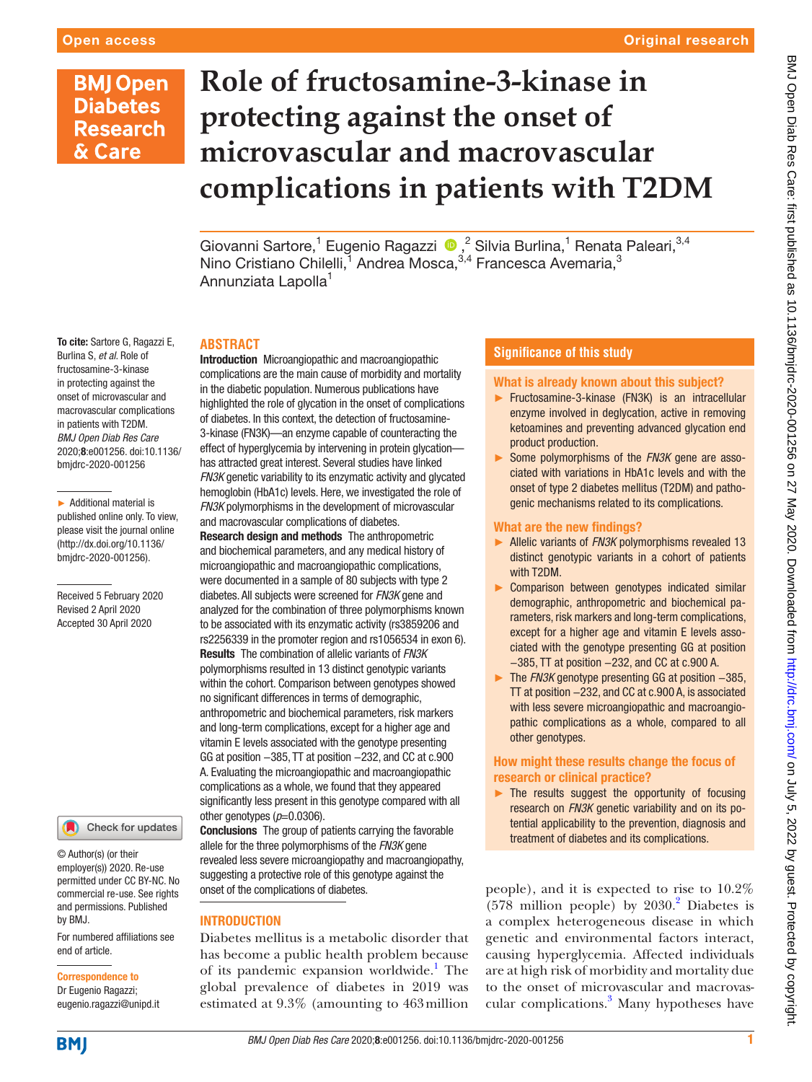# **BMJ Open Diabetes Research** & Care

To cite: Sartore G, Ragazzi E, Burlina S, *et al*. Role of fructosamine-3-kinase in protecting against the onset of microvascular and macrovascular complications in patients with T2DM. *BMJ Open Diab Res Care* 2020;8:e001256. doi:10.1136/ bmjdrc-2020-001256

► Additional material is published online only. To view, please visit the journal online (http://dx.doi.org/10.1136/ bmjdrc-2020-001256).

Received 5 February 2020 Revised 2 April 2020 Accepted 30 April 2020

# **Role of fructosamine-3-kinase in protecting against the onset of microvascular and macrovascular complications in patients with T2DM**

Giovanni Sartore,<sup>1</sup> Eugenio Ragazzi (D,<sup>2</sup> Silvia Burlina,<sup>1</sup> Renata Paleari,<sup>3,4</sup> Nino Cristiano Chilelli,<sup>1</sup> Andrea Mosca,<sup>3,4</sup> Francesca Avemaria,<sup>3</sup> Annunziata Lapolla<sup>1</sup>

### **Abstract**

Introduction Microangiopathic and macroangiopathic complications are the main cause of morbidity and mortality in the diabetic population. Numerous publications have highlighted the role of glycation in the onset of complications of diabetes. In this context, the detection of fructosamine-3-kinase (FN3K)—an enzyme capable of counteracting the effect of hyperglycemia by intervening in protein glycation has attracted great interest. Several studies have linked *FN3K* genetic variability to its enzymatic activity and glycated hemoglobin (HbA1c) levels. Here, we investigated the role of *FN3K* polymorphisms in the development of microvascular and macrovascular complications of diabetes.

Research design and methods The anthropometric and biochemical parameters, and any medical history of microangiopathic and macroangiopathic complications, were documented in a sample of 80 subjects with type 2 diabetes. All subjects were screened for *FN3K* gene and analyzed for the combination of three polymorphisms known to be associated with its enzymatic activity (rs3859206 and rs2256339 in the promoter region and rs1056534 in exon 6). Results The combination of allelic variants of *FN3K* polymorphisms resulted in 13 distinct genotypic variants within the cohort. Comparison between genotypes showed no significant differences in terms of demographic, anthropometric and biochemical parameters, risk markers and long-term complications, except for a higher age and vitamin E levels associated with the genotype presenting GG at position –385, TT at position –232, and CC at c.900 A. Evaluating the microangiopathic and macroangiopathic complications as a whole, we found that they appeared significantly less present in this genotype compared with all other genotypes  $(p=0.0306)$ .

Conclusions The group of patients carrying the favorable allele for the three polymorphisms of the *FN3K* gene revealed less severe microangiopathy and macroangiopathy, suggesting a protective role of this genotype against the onset of the complications of diabetes.

### **INTRODUCTION**

Diabetes mellitus is a metabolic disorder that has become a public health problem because of its pandemic expansion worldwide.<sup>1</sup> The global prevalence of diabetes in 2019 was estimated at 9.3% (amounting to 463million

### **Significance of this study**

### What is already known about this subject?

- ► Fructosamine-3-kinase (FN3K) is an intracellular enzyme involved in deglycation, active in removing ketoamines and preventing advanced glycation end product production.
- ► Some polymorphisms of the *FN3K* gene are associated with variations in HbA1c levels and with the onset of type 2 diabetes mellitus (T2DM) and pathogenic mechanisms related to its complications.

### What are the new findings?

- ► Allelic variants of *FN3K* polymorphisms revealed 13 distinct genotypic variants in a cohort of patients with T2DM.
- ► Comparison between genotypes indicated similar demographic, anthropometric and biochemical parameters, risk markers and long-term complications, except for a higher age and vitamin E levels associated with the genotype presenting GG at position −385, TT at position −232, and CC at c.900 A.
- ► The *FN3K* genotype presenting GG at position −385, TT at position −232, and CC at c.900 A, is associated with less severe microangiopathic and macroangiopathic complications as a whole, compared to all other genotypes.

### How might these results change the focus of research or clinical practice?

 $\blacktriangleright$  The results suggest the opportunity of focusing research on *FN3K* genetic variability and on its potential applicability to the prevention, diagnosis and treatment of diabetes and its complications.

people), and it is expected to rise to 10.2%  $(578$  million people) by  $2030$  $2030$ .<sup>2</sup> Diabetes is a complex heterogeneous disease in which genetic and environmental factors interact, causing hyperglycemia. Affected individuals are at high risk of morbidity and mortality due to the onset of microvascular and macrovas-cular complications.<sup>[3](#page-6-2)</sup> Many hypotheses have

1

#### permitted under CC BY-NC. No commercial re-use. See rights

© Author(s) (or their employer(s)) 2020. Re-use

For numbered affiliations see end of article. and permissions. Published by BMJ.

Check for updates

# Correspondence to

Dr Eugenio Ragazzi; eugenio.ragazzi@unipd.it



**BMI**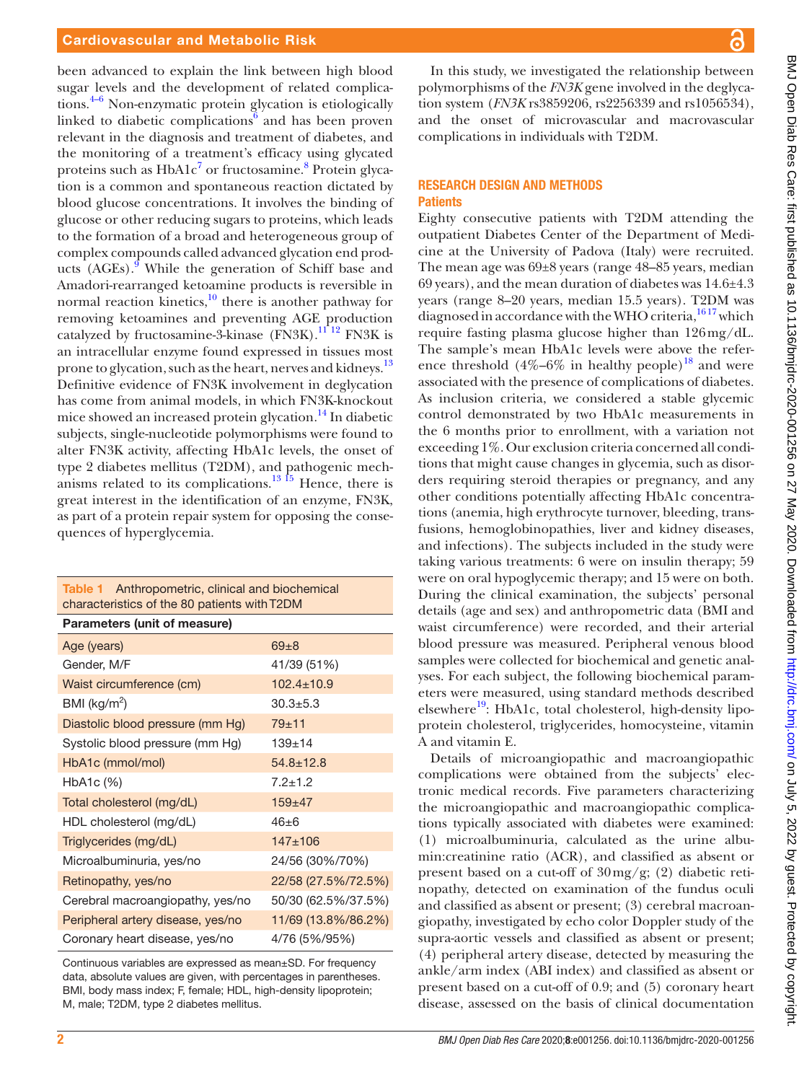been advanced to explain the link between high blood sugar levels and the development of related complications.[4–6](#page-6-3) Non-enzymatic protein glycation is etiologically linked to diabetic complications $6$  and has been proven relevant in the diagnosis and treatment of diabetes, and the monitoring of a treatment's efficacy using glycated proteins such as HbA1c<sup>[7](#page-6-5)</sup> or fructosamine.<sup>8</sup> Protein glycation is a common and spontaneous reaction dictated by blood glucose concentrations. It involves the binding of glucose or other reducing sugars to proteins, which leads to the formation of a broad and heterogeneous group of complex compounds called advanced glycation end prod-ucts (AGEs).<sup>[9](#page-6-7)</sup> While the generation of Schiff base and Amadori-rearranged ketoamine products is reversible in normal reaction kinetics, $10$  there is another pathway for removing ketoamines and preventing AGE production catalyzed by fructosamine-3-kinase (FN3K).<sup>11 12</sup> FN3K is an intracellular enzyme found expressed in tissues most prone to glycation, such as the heart, nerves and kidneys.<sup>13</sup> Definitive evidence of FN3K involvement in deglycation has come from animal models, in which FN3K-knockout mice showed an increased protein glycation.<sup>14</sup> In diabetic subjects, single-nucleotide polymorphisms were found to alter FN3K activity, affecting HbA1c levels, the onset of type 2 diabetes mellitus (T2DM), and pathogenic mechanisms related to its complications.<sup>13 15</sup> Hence, there is great interest in the identification of an enzyme, FN3K, as part of a protein repair system for opposing the consequences of hyperglycemia.

<span id="page-1-0"></span>

| Table 1 Anthropometric, clinical and biochemical<br>characteristics of the 80 patients with T2DM |                     |  |  |  |  |
|--------------------------------------------------------------------------------------------------|---------------------|--|--|--|--|
| Parameters (unit of measure)                                                                     |                     |  |  |  |  |
| Age (years)                                                                                      | $69 + 8$            |  |  |  |  |
| Gender, M/F                                                                                      | 41/39 (51%)         |  |  |  |  |
| Waist circumference (cm)                                                                         | $102.4 + 10.9$      |  |  |  |  |
| BMI ( $\text{kg/m}^2$ )                                                                          | $30.3 + 5.3$        |  |  |  |  |
| Diastolic blood pressure (mm Hg)                                                                 | $79 + 11$           |  |  |  |  |
| Systolic blood pressure (mm Hg)                                                                  | $139 + 14$          |  |  |  |  |
| HbA1c (mmol/mol)                                                                                 | $54.8 + 12.8$       |  |  |  |  |
| HbA1c (%)                                                                                        | $7.2 + 1.2$         |  |  |  |  |
| Total cholesterol (mg/dL)                                                                        | $159 + 47$          |  |  |  |  |
| HDL cholesterol (mg/dL)                                                                          | $46 + 6$            |  |  |  |  |
| Triglycerides (mg/dL)                                                                            | $147 + 106$         |  |  |  |  |
| Microalbuminuria, yes/no                                                                         | 24/56 (30%/70%)     |  |  |  |  |
| Retinopathy, yes/no                                                                              | 22/58 (27.5%/72.5%) |  |  |  |  |
| Cerebral macroangiopathy, yes/no                                                                 | 50/30 (62.5%/37.5%) |  |  |  |  |
| Peripheral artery disease, yes/no                                                                | 11/69 (13.8%/86.2%) |  |  |  |  |
| 4/76 (5%/95%)<br>Coronary heart disease, yes/no                                                  |                     |  |  |  |  |

Continuous variables are expressed as mean±SD. For frequency data, absolute values are given, with percentages in parentheses. BMI, body mass index; F, female; HDL, high-density lipoprotein; M, male; T2DM, type 2 diabetes mellitus.

In this study, we investigated the relationship between polymorphisms of the *FN3K* gene involved in the deglycation system (*FN3K* rs3859206, rs2256339 and rs1056534), and the onset of microvascular and macrovascular complications in individuals with T2DM.

### Research design and methods **Patients**

Eighty consecutive patients with T2DM attending the outpatient Diabetes Center of the Department of Medicine at the University of Padova (Italy) were recruited. The mean age was 69±8 years (range 48–85 years, median 69 years), and the mean duration of diabetes was 14.6±4.3 years (range 8–20 years, median 15.5 years). T2DM was diagnosed in accordance with the WHO criteria,<sup>1617</sup> which require fasting plasma glucose higher than 126mg/dL. The sample's mean HbA1c levels were above the reference threshold  $(4\% - 6\%$  in healthy people)<sup>18</sup> and were associated with the presence of complications of diabetes. As inclusion criteria, we considered a stable glycemic control demonstrated by two HbA1c measurements in the 6 months prior to enrollment, with a variation not exceeding 1%. Our exclusion criteria concerned all conditions that might cause changes in glycemia, such as disorders requiring steroid therapies or pregnancy, and any other conditions potentially affecting HbA1c concentrations (anemia, high erythrocyte turnover, bleeding, transfusions, hemoglobinopathies, liver and kidney diseases, and infections). The subjects included in the study were taking various treatments: 6 were on insulin therapy; 59 were on oral hypoglycemic therapy; and 15 were on both. During the clinical examination, the subjects' personal details (age and sex) and anthropometric data (BMI and waist circumference) were recorded, and their arterial blood pressure was measured. Peripheral venous blood samples were collected for biochemical and genetic analyses. For each subject, the following biochemical parameters were measured, using standard methods described elsewhere<sup>19</sup>: HbA1c, total cholesterol, high-density lipoprotein cholesterol, triglycerides, homocysteine, vitamin A and vitamin E.

Details of microangiopathic and macroangiopathic complications were obtained from the subjects' electronic medical records. Five parameters characterizing the microangiopathic and macroangiopathic complications typically associated with diabetes were examined: (1) microalbuminuria, calculated as the urine albumin:creatinine ratio (ACR), and classified as absent or present based on a cut-off of 30mg/g; (2) diabetic retinopathy, detected on examination of the fundus oculi and classified as absent or present; (3) cerebral macroangiopathy, investigated by echo color Doppler study of the supra-aortic vessels and classified as absent or present; (4) peripheral artery disease, detected by measuring the ankle/arm index (ABI index) and classified as absent or present based on a cut-off of 0.9; and (5) coronary heart disease, assessed on the basis of clinical documentation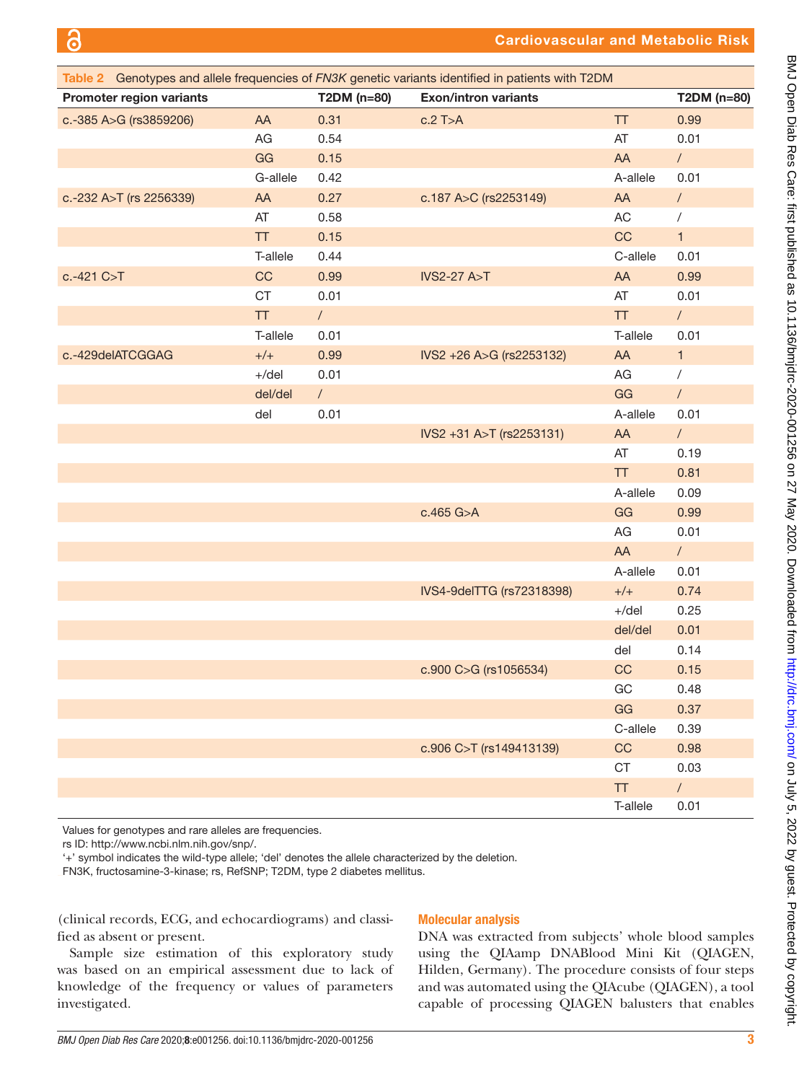<span id="page-2-0"></span>

| Table 2 Genotypes and allele frequencies of FN3K genetic variants identified in patients with T2DM |          |             |                             |            |              |
|----------------------------------------------------------------------------------------------------|----------|-------------|-----------------------------|------------|--------------|
| <b>Promoter region variants</b>                                                                    |          | T2DM (n=80) | <b>Exon/intron variants</b> |            | T2DM (n=80)  |
| c.-385 A>G (rs3859206)                                                                             | AA       | 0.31        | $c.2$ T>A                   | <b>TT</b>  | 0.99         |
|                                                                                                    | AG       | 0.54        |                             | AT         | 0.01         |
|                                                                                                    | GG       | 0.15        |                             | AA         | $\sqrt{2}$   |
|                                                                                                    | G-allele | 0.42        |                             | A-allele   | 0.01         |
| c.-232 A>T (rs 2256339)                                                                            | AA       | 0.27        | c.187 A>C (rs2253149)       | AA         | $\sqrt{2}$   |
|                                                                                                    | AT       | 0.58        |                             | AC         | $\sqrt{2}$   |
|                                                                                                    | TT       | 0.15        |                             | CC         | $\mathbf{1}$ |
|                                                                                                    | T-allele | 0.44        |                             | C-allele   | 0.01         |
| $c.-421 C > T$                                                                                     | CC       | 0.99        | <b>IVS2-27 A&gt;T</b>       | AA         | 0.99         |
|                                                                                                    | CT       | 0.01        |                             | AT         | 0.01         |
|                                                                                                    | TT       | $\sqrt{2}$  |                             | <b>TT</b>  | $\sqrt{2}$   |
|                                                                                                    | T-allele | 0.01        |                             | T-allele   | 0.01         |
| c.-429delATCGGAG                                                                                   | $+/+$    | 0.99        | IVS2 +26 A>G (rs2253132)    | AA         | $\mathbf{1}$ |
|                                                                                                    | $+$ /del | 0.01        |                             | AG         | $\sqrt{2}$   |
|                                                                                                    | del/del  | $\sqrt{2}$  |                             | GG         | $\sqrt{2}$   |
|                                                                                                    | del      | 0.01        |                             | A-allele   | 0.01         |
|                                                                                                    |          |             | IVS2 +31 A>T (rs2253131)    | AA         | $\sqrt{2}$   |
|                                                                                                    |          |             |                             | AT         | 0.19         |
|                                                                                                    |          |             |                             | <b>TT</b>  | 0.81         |
|                                                                                                    |          |             |                             | A-allele   | 0.09         |
|                                                                                                    |          |             | c.465 G>A                   | GG         | 0.99         |
|                                                                                                    |          |             |                             | $AG$       | 0.01         |
|                                                                                                    |          |             |                             | AA         | $\sqrt{2}$   |
|                                                                                                    |          |             |                             | A-allele   | 0.01         |
|                                                                                                    |          |             | IVS4-9delTTG (rs72318398)   | $+/+$      | 0.74         |
|                                                                                                    |          |             |                             | $+/del$    | 0.25         |
|                                                                                                    |          |             |                             | del/del    | 0.01         |
|                                                                                                    |          |             |                             | del        | 0.14         |
|                                                                                                    |          |             | c.900 C>G (rs1056534)       | CC         | 0.15         |
|                                                                                                    |          |             |                             | GC         | 0.48         |
|                                                                                                    |          |             |                             | GG         | 0.37         |
|                                                                                                    |          |             |                             | C-allele   | 0.39         |
|                                                                                                    |          |             | c.906 C>T (rs149413139)     | CC         | 0.98         |
|                                                                                                    |          |             |                             | CT         | 0.03         |
|                                                                                                    |          |             |                             | ${\sf TT}$ | $\sqrt{2}$   |
|                                                                                                    |          |             |                             | T-allele   | 0.01         |

Values for genotypes and rare alleles are frequencies.

rs ID:<http://www.ncbi.nlm.nih.gov/snp/>.

'+' symbol indicates the wild-type allele; 'del' denotes the allele characterized by the deletion.

FN3K, fructosamine-3-kinase; rs, RefSNP; T2DM, type 2 diabetes mellitus.

(clinical records, ECG, and echocardiograms) and classified as absent or present.

## Molecular analysis

Sample size estimation of this exploratory study was based on an empirical assessment due to lack of knowledge of the frequency or values of parameters investigated.

DNA was extracted from subjects' whole blood samples using the QIAamp DNABlood Mini Kit (QIAGEN, Hilden, Germany). The procedure consists of four steps and was automated using the QIAcube (QIAGEN), a tool capable of processing QIAGEN balusters that enables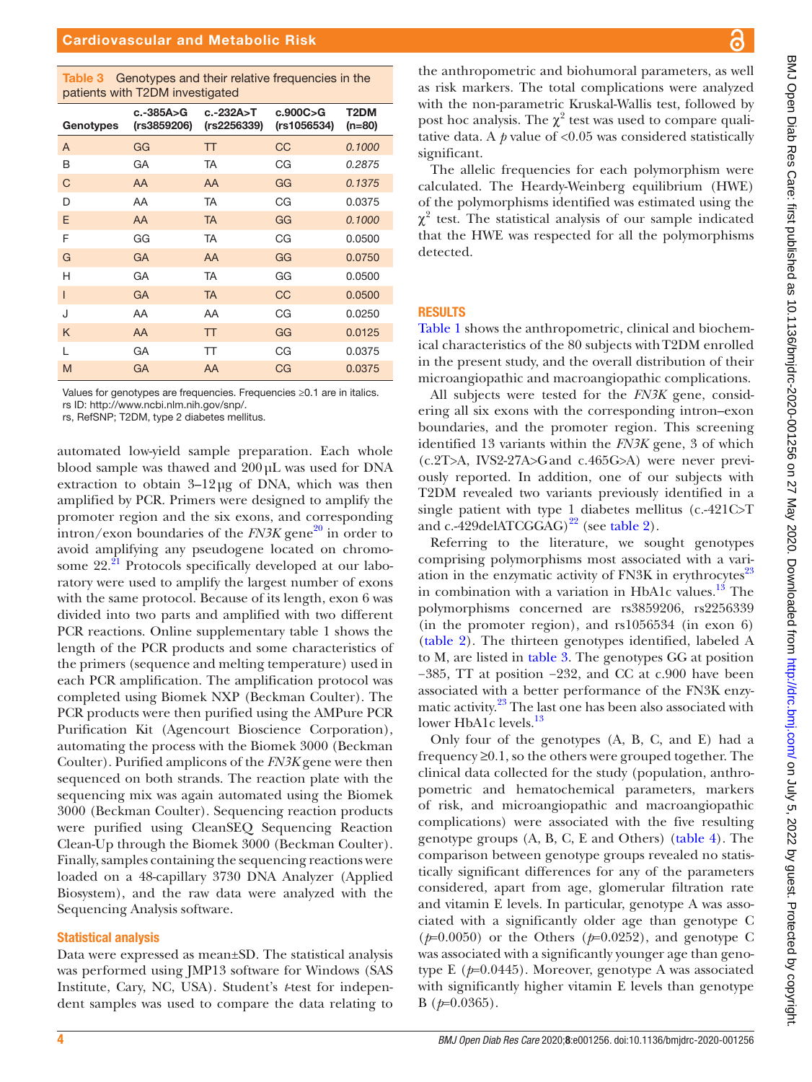<span id="page-3-0"></span>Table 3 Genotypes and their relative frequencies in the patients with T2DM investigated

| pationto with rebit mivootigatoo |                            |                          |                           |                             |  |
|----------------------------------|----------------------------|--------------------------|---------------------------|-----------------------------|--|
| Genotypes                        | $c.-385A>G$<br>(rs3859206) | c.-232A>T<br>(rs2256339) | c.900C > G<br>(rs1056534) | T <sub>2</sub> DM<br>(n=80) |  |
| A                                | GG                         | <b>TT</b>                | CC                        | 0.1000                      |  |
| B                                | GA                         | <b>TA</b>                | CG                        | 0.2875                      |  |
| C                                | AA                         | AA                       | GG                        | 0.1375                      |  |
| D                                | AA                         | <b>TA</b>                | CG                        | 0.0375                      |  |
| E                                | AA                         | <b>TA</b>                | GG                        | 0.1000                      |  |
| F                                | GG                         | <b>TA</b>                | CG                        | 0.0500                      |  |
| G                                | <b>GA</b>                  | AA                       | GG                        | 0.0750                      |  |
| H                                | GA                         | <b>TA</b>                | GG                        | 0.0500                      |  |
| $\mathsf{I}$                     | GA                         | <b>TA</b>                | CC                        | 0.0500                      |  |
| J                                | AA                         | AA                       | CG                        | 0.0250                      |  |
| K                                | AA                         | <b>TT</b>                | GG                        | 0.0125                      |  |
| L                                | GA                         | <b>TT</b>                | CG                        | 0.0375                      |  |
| M                                | GA                         | AA                       | CG                        | 0.0375                      |  |
|                                  |                            |                          |                           |                             |  |

Values for genotypes are frequencies. Frequencies ≥0.1 are in italics. rs ID: <http://www.ncbi.nlm.nih.gov/snp/>.

rs, RefSNP; T2DM, type 2 diabetes mellitus.

automated low-yield sample preparation. Each whole blood sample was thawed and 200µL was used for DNA extraction to obtain  $3-12\mu$ g of DNA, which was then amplified by PCR. Primers were designed to amplify the promoter region and the six exons, and corresponding  $\frac{1}{2}$  intron/exon boundaries of the *FN3K* gene<sup>20</sup> in order to avoid amplifying any pseudogene located on chromosome  $22.^{21}$  $22.^{21}$  $22.^{21}$  Protocols specifically developed at our laboratory were used to amplify the largest number of exons with the same protocol. Because of its length, exon 6 was divided into two parts and amplified with two different PCR reactions. [Online supplementary table 1](https://dx.doi.org/10.1136/bmjdrc-2020-001256) shows the length of the PCR products and some characteristics of the primers (sequence and melting temperature) used in each PCR amplification. The amplification protocol was completed using Biomek NXP (Beckman Coulter). The PCR products were then purified using the AMPure PCR Purification Kit (Agencourt Bioscience Corporation), automating the process with the Biomek 3000 (Beckman Coulter). Purified amplicons of the *FN3K* gene were then sequenced on both strands. The reaction plate with the sequencing mix was again automated using the Biomek 3000 (Beckman Coulter). Sequencing reaction products were purified using CleanSEQ Sequencing Reaction Clean-Up through the Biomek 3000 (Beckman Coulter). Finally, samples containing the sequencing reactions were loaded on a 48-capillary 3730 DNA Analyzer (Applied Biosystem), and the raw data were analyzed with the Sequencing Analysis software.

### Statistical analysis

Data were expressed as mean±SD. The statistical analysis was performed using JMP13 software for Windows (SAS Institute, Cary, NC, USA). Student's *t*-test for independent samples was used to compare the data relating to

the anthropometric and biohumoral parameters, as well as risk markers. The total complications were analyzed with the non-parametric Kruskal-Wallis test, followed by post hoc analysis. The  $\chi^2$  test was used to compare qualitative data. A  $p$  value of  $< 0.05$  was considered statistically significant.

The allelic frequencies for each polymorphism were calculated. The Heardy-Weinberg equilibrium (HWE) of the polymorphisms identified was estimated using the  $\chi^2$  test. The statistical analysis of our sample indicated that the HWE was respected for all the polymorphisms detected.

### **RESULTS**

[Table](#page-1-0) 1 shows the anthropometric, clinical and biochemical characteristics of the 80 subjects with T2DM enrolled in the present study, and the overall distribution of their microangiopathic and macroangiopathic complications.

All subjects were tested for the *FN3K* gene, considering all six exons with the corresponding intron–exon boundaries, and the promoter region. This screening identified 13 variants within the *FN3K* gene, 3 of which (c.2T>A, IVS2-27A>Gand c.465G>A) were never previously reported. In addition, one of our subjects with T2DM revealed two variants previously identified in a single patient with type 1 diabetes mellitus (c.-421C>T and c.-429delATCGGAG)<sup>[22](#page-6-17)</sup> (see [table](#page-2-0) 2).

Referring to the literature, we sought genotypes comprising polymorphisms most associated with a variation in the enzymatic activity of FN3K in erythrocytes $^{23}$  $^{23}$  $^{23}$ in combination with a variation in HbA1c values. $^{13}$  The polymorphisms concerned are rs3859206, rs2256339 (in the promoter region), and rs1056534 (in exon 6) [\(table](#page-2-0) 2). The thirteen genotypes identified, labeled A to M, are listed in [table](#page-3-0) 3. The genotypes GG at position −385, TT at position −232, and CC at c.900 have been associated with a better performance of the FN3K enzymatic activity.<sup>23</sup> The last one has been also associated with lower HbA1c levels.<sup>[13](#page-6-10)</sup>

Only four of the genotypes (A, B, C, and E) had a frequency ≥0.1, so the others were grouped together. The clinical data collected for the study (population, anthropometric and hematochemical parameters, markers of risk, and microangiopathic and macroangiopathic complications) were associated with the five resulting genotype groups (A, B, C, E and Others) ([table](#page-4-0) 4). The comparison between genotype groups revealed no statistically significant differences for any of the parameters considered, apart from age, glomerular filtration rate and vitamin E levels. In particular, genotype A was associated with a significantly older age than genotype C (*p*=0.0050) or the Others (*p*=0.0252), and genotype C was associated with a significantly younger age than genotype E (*p*=0.0445). Moreover, genotype A was associated with significantly higher vitamin E levels than genotype B (*p*=0.0365).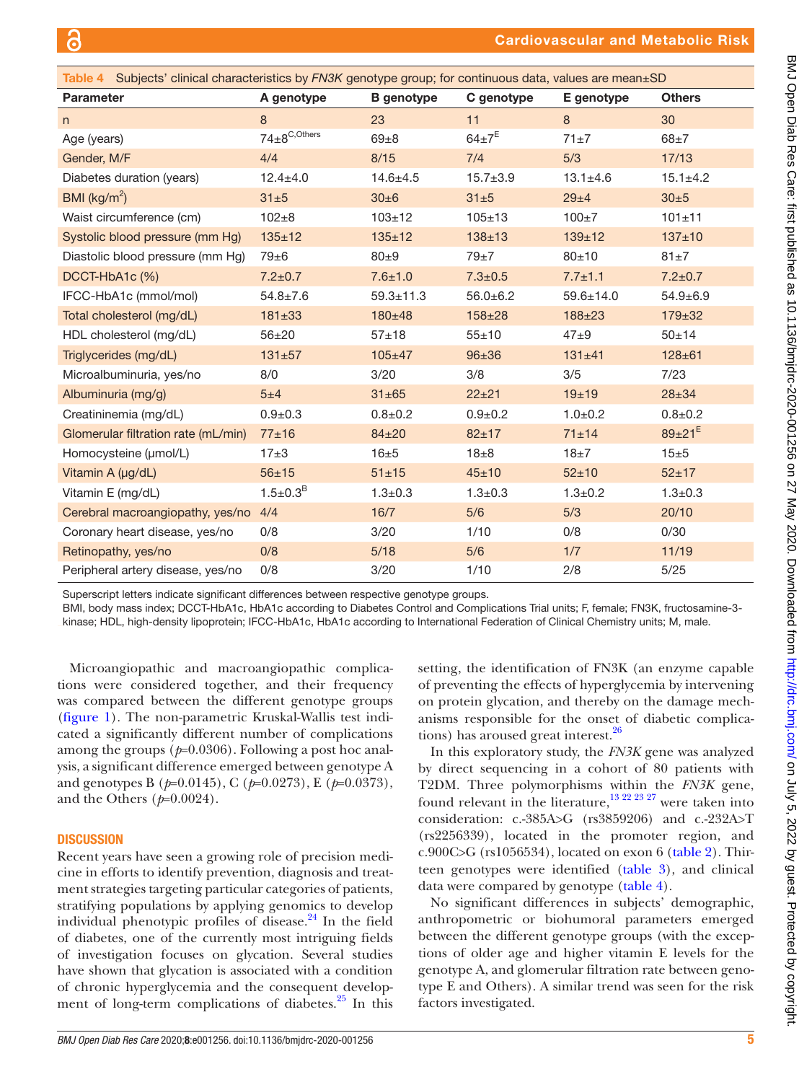<span id="page-4-0"></span>

| Table 4 Subjects' clinical characteristics by FN3K genotype group; for continuous data, values are mean±SD |                               |                   |                         |                 |                        |
|------------------------------------------------------------------------------------------------------------|-------------------------------|-------------------|-------------------------|-----------------|------------------------|
| <b>Parameter</b>                                                                                           | A genotype                    | <b>B</b> genotype | C genotype              | E genotype      | <b>Others</b>          |
| n                                                                                                          | 8                             | 23                | 11                      | 8               | 30                     |
| Age (years)                                                                                                | $74\pm8$ <sup>C, Others</sup> | $69\pm8$          | $64 \pm 7$ <sup>E</sup> | $71 \pm 7$      | $68 + 7$               |
| Gender, M/F                                                                                                | 4/4                           | 8/15              | 7/4                     | 5/3             | 17/13                  |
| Diabetes duration (years)                                                                                  | $12.4 + 4.0$                  | $14.6 + 4.5$      | $15.7 \pm 3.9$          | $13.1 \pm 4.6$  | $15.1 \pm 4.2$         |
| BMI ( $\text{kg/m}^2$ )                                                                                    | 31±5                          | 30±6              | 31±5                    | $29 + 4$        | 30±5                   |
| Waist circumference (cm)                                                                                   | $102 + 8$                     | $103 \pm 12$      | $105 + 13$              | $100+7$         | $101 \pm 11$           |
| Systolic blood pressure (mm Hg)                                                                            | $135 + 12$                    | $135 \pm 12$      | $138 + 13$              | $139 + 12$      | $137 + 10$             |
| Diastolic blood pressure (mm Hg)                                                                           | $79\pm 6$                     | $80\pm9$          | $79\pm7$                | $80 + 10$       | $81\pm7$               |
| DCCT-HbA1c (%)                                                                                             | $7.2 \pm 0.7$                 | $7.6 \pm 1.0$     | $7.3 \pm 0.5$           | $7.7 \pm 1.1$   | $7.2 \pm 0.7$          |
| IFCC-HbA1c (mmol/mol)                                                                                      | $54.8 \pm 7.6$                | $59.3 \pm 11.3$   | $56.0 \pm 6.2$          | $59.6 \pm 14.0$ | $54.9 + 6.9$           |
| Total cholesterol (mg/dL)                                                                                  | $181 \pm 33$                  | 180±48            | $158 + 28$              | $188 + 23$      | $179 \pm 32$           |
| HDL cholesterol (mg/dL)                                                                                    | $56 + 20$                     | $57 + 18$         | $55 + 10$               | $47\pm9$        | $50 + 14$              |
| Triglycerides (mg/dL)                                                                                      | $131 + 57$                    | $105 \pm 47$      | $96 \pm 36$             | $131 \pm 41$    | $128 + 61$             |
| Microalbuminuria, yes/no                                                                                   | 8/0                           | 3/20              | 3/8                     | 3/5             | 7/23                   |
| Albuminuria (mg/g)                                                                                         | 5±4                           | $31 \pm 65$       | $22 + 21$               | $19 + 19$       | $28 + 34$              |
| Creatininemia (mg/dL)                                                                                      | $0.9 + 0.3$                   | $0.8 + 0.2$       | $0.9 + 0.2$             | $1.0 + 0.2$     | $0.8 + 0.2$            |
| Glomerular filtration rate (mL/min)                                                                        | $77 + 16$                     | $84 + 20$         | $82 + 17$               | 71±14           | $89\pm21$ <sup>E</sup> |
| Homocysteine (umol/L)                                                                                      | $17\pm3$                      | $16\pm5$          | $18\pm8$                | $18\pm7$        | 15±5                   |
| Vitamin A (µg/dL)                                                                                          | $56 + 15$                     | $51 + 15$         | $45 \pm 10$             | $52 + 10$       | $52 + 17$              |
| Vitamin E (mg/dL)                                                                                          | $1.5 \pm 0.3^B$               | $1.3 + 0.3$       | $1.3 + 0.3$             | $1.3 + 0.2$     | $1.3 \pm 0.3$          |
| Cerebral macroangiopathy, yes/no                                                                           | 4/4                           | 16/7              | 5/6                     | 5/3             | 20/10                  |
| Coronary heart disease, yes/no                                                                             | 0/8                           | 3/20              | 1/10                    | 0/8             | 0/30                   |
| Retinopathy, yes/no                                                                                        | 0/8                           | $5/18$            | 5/6                     | 1/7             | 11/19                  |
| Peripheral artery disease, yes/no                                                                          | 0/8                           | 3/20              | 1/10                    | 2/8             | $5/25$                 |

Superscript letters indicate significant differences between respective genotype groups.

BMI, body mass index; DCCT-HbA1c, HbA1c according to Diabetes Control and Complications Trial units; F, female; FN3K, fructosamine-3 kinase; HDL, high-density lipoprotein; IFCC-HbA1c, HbA1c according to International Federation of Clinical Chemistry units; M, male.

Microangiopathic and macroangiopathic complications were considered together, and their frequency was compared between the different genotype groups [\(figure](#page-5-0) 1). The non-parametric Kruskal-Wallis test indicated a significantly different number of complications among the groups (*p*=0.0306). Following a post hoc analysis, a significant difference emerged between genotype A and genotypes B (*p*=0.0145), C (*p*=0.0273), E (*p*=0.0373), and the Others (*p*=0.0024).

### **DISCUSSION**

Recent years have seen a growing role of precision medicine in efforts to identify prevention, diagnosis and treatment strategies targeting particular categories of patients, stratifying populations by applying genomics to develop individual phenotypic profiles of disease. $^{24}$  In the field of diabetes, one of the currently most intriguing fields of investigation focuses on glycation. Several studies have shown that glycation is associated with a condition of chronic hyperglycemia and the consequent development of long-term complications of diabetes. $25$  In this

setting, the identification of FN3K (an enzyme capable of preventing the effects of hyperglycemia by intervening on protein glycation, and thereby on the damage mechanisms responsible for the onset of diabetic complica-tions) has aroused great interest.<sup>[26](#page-6-21)</sup>

In this exploratory study, the *FN3K* gene was analyzed by direct sequencing in a cohort of 80 patients with T2DM. Three polymorphisms within the *FN3K* gene, found relevant in the literature,<sup>13 22 23 27</sup> were taken into consideration: c.-385A>G (rs3859206) and c.-232A>T (rs2256339), located in the promoter region, and c.900C>G (rs1056534), located on exon 6 [\(table](#page-2-0) 2). Thirteen genotypes were identified ([table](#page-3-0) 3), and clinical data were compared by genotype [\(table](#page-4-0) 4).

No significant differences in subjects' demographic, anthropometric or biohumoral parameters emerged between the different genotype groups (with the exceptions of older age and higher vitamin E levels for the genotype A, and glomerular filtration rate between genotype E and Others). A similar trend was seen for the risk factors investigated.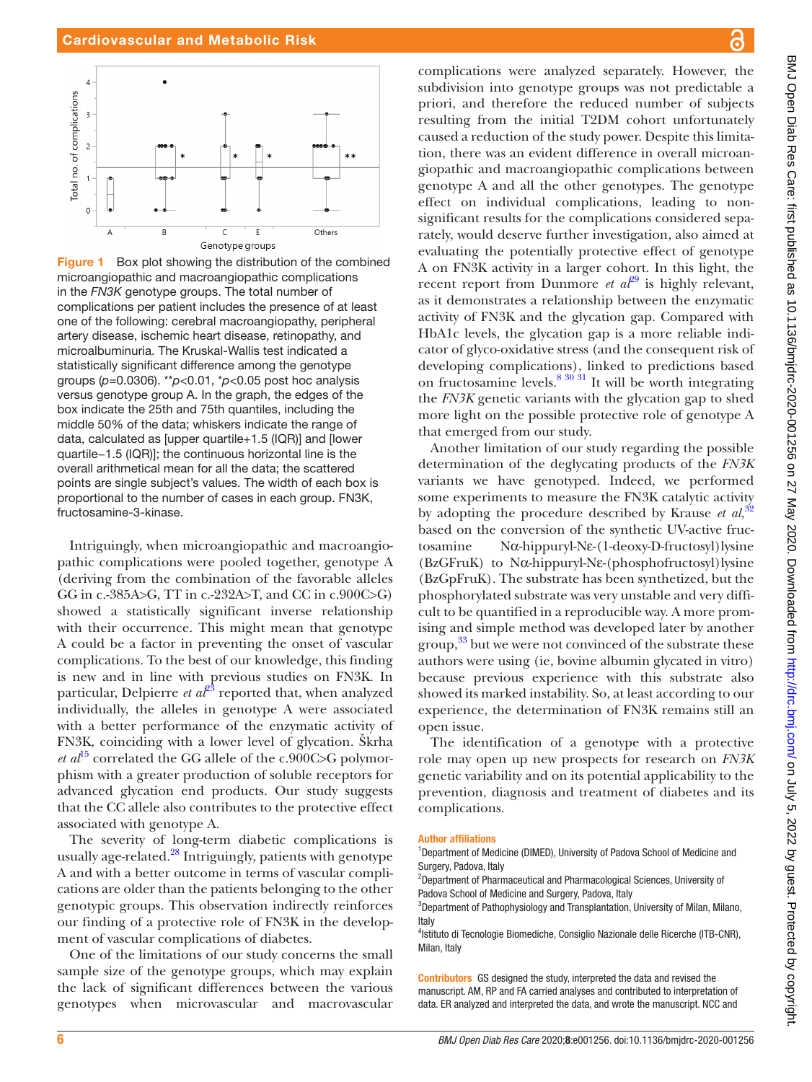

<span id="page-5-0"></span>**Figure 1** Box plot showing the distribution of the combined microangiopathic and macroangiopathic complications in the *FN3K* genotype groups. The total number of complications per patient includes the presence of at least one of the following: cerebral macroangiopathy, peripheral artery disease, ischemic heart disease, retinopathy, and microalbuminuria. The Kruskal-Wallis test indicated a statistically significant difference among the genotype groups (*p*=0.0306). \*\**p*<0.01, \**p*<0.05 post hoc analysis versus genotype group A. In the graph, the edges of the box indicate the 25th and 75th quantiles, including the middle 50% of the data; whiskers indicate the range of data, calculated as [upper quartile+1.5 (IQR)] and [lower quartile−1.5 (IQR)]; the continuous horizontal line is the overall arithmetical mean for all the data; the scattered points are single subject's values. The width of each box is proportional to the number of cases in each group. FN3K, fructosamine-3-kinase.

Intriguingly, when microangiopathic and macroangiopathic complications were pooled together, genotype A (deriving from the combination of the favorable alleles GG in c.-385A>G, TT in c.-232A>T, and CC in c.900C>G) showed a statistically significant inverse relationship with their occurrence. This might mean that genotype A could be a factor in preventing the onset of vascular complications. To the best of our knowledge, this finding is new and in line with previous studies on FN3K. In particular, Delpierre  $et \t a t^{23}$  reported that, when analyzed individually, the alleles in genotype A were associated with a better performance of the enzymatic activity of FN3K, coinciding with a lower level of glycation. Škrha *et al*<sup>[15](#page-6-22)</sup> correlated the GG allele of the c.900C $\gt$ G polymorphism with a greater production of soluble receptors for advanced glycation end products. Our study suggests that the CC allele also contributes to the protective effect associated with genotype A.

The severity of long-term diabetic complications is usually age-related.<sup>28</sup> Intriguingly, patients with genotype A and with a better outcome in terms of vascular complications are older than the patients belonging to the other genotypic groups. This observation indirectly reinforces our finding of a protective role of FN3K in the development of vascular complications of diabetes.

One of the limitations of our study concerns the small sample size of the genotype groups, which may explain the lack of significant differences between the various genotypes when microvascular and macrovascular

complications were analyzed separately. However, the subdivision into genotype groups was not predictable a priori, and therefore the reduced number of subjects resulting from the initial T2DM cohort unfortunately caused a reduction of the study power. Despite this limitation, there was an evident difference in overall microangiopathic and macroangiopathic complications between genotype A and all the other genotypes. The genotype effect on individual complications, leading to nonsignificant results for the complications considered separately, would deserve further investigation, also aimed at evaluating the potentially protective effect of genotype A on FN3K activity in a larger cohort. In this light, the recent report from Dunmore *et al*<sup>29</sup> is highly relevant, as it demonstrates a relationship between the enzymatic activity of FN3K and the glycation gap. Compared with HbA1c levels, the glycation gap is a more reliable indicator of glyco-oxidative stress (and the consequent risk of developing complications), linked to predictions based on fructosamine levels.<sup>[8 30 31](#page-6-6)</sup> It will be worth integrating the *FN3K* genetic variants with the glycation gap to shed more light on the possible protective role of genotype A that emerged from our study.

Another limitation of our study regarding the possible determination of the deglycating products of the *FN3K* variants we have genotyped. Indeed, we performed some experiments to measure the FN3K catalytic activity by adopting the procedure described by Krause *et al*,<sup>[32](#page-6-25)</sup> based on the conversion of the synthetic UV-active fructosamine Nα-hippuryl-Nε-(1-deoxy-D-fructosyl)lysine (BzGFruK) to Nα-hippuryl-Nε-(phosphofructosyl)lysine (BzGpFruK). The substrate has been synthetized, but the phosphorylated substrate was very unstable and very difficult to be quantified in a reproducible way. A more promising and simple method was developed later by another group,<sup>33</sup> but we were not convinced of the substrate these authors were using (ie, bovine albumin glycated in vitro) because previous experience with this substrate also showed its marked instability. So, at least according to our experience, the determination of FN3K remains still an open issue.

The identification of a genotype with a protective role may open up new prospects for research on *FN3K* genetic variability and on its potential applicability to the prevention, diagnosis and treatment of diabetes and its complications.

### Author affiliations

2 Department of Pharmaceutical and Pharmacological Sciences, University of Padova School of Medicine and Surgery, Padova, Italy

<sup>3</sup>Department of Pathophysiology and Transplantation, University of Milan, Milano, Italy

<sup>4</sup>Istituto di Tecnologie Biomediche, Consiglio Nazionale delle Ricerche (ITB-CNR), Milan, Italy

Contributors GS designed the study, interpreted the data and revised the manuscript. AM, RP and FA carried analyses and contributed to interpretation of data. ER analyzed and interpreted the data, and wrote the manuscript. NCC and

<sup>&</sup>lt;sup>1</sup>Department of Medicine (DIMED), University of Padova School of Medicine and Surgery, Padova, Italy